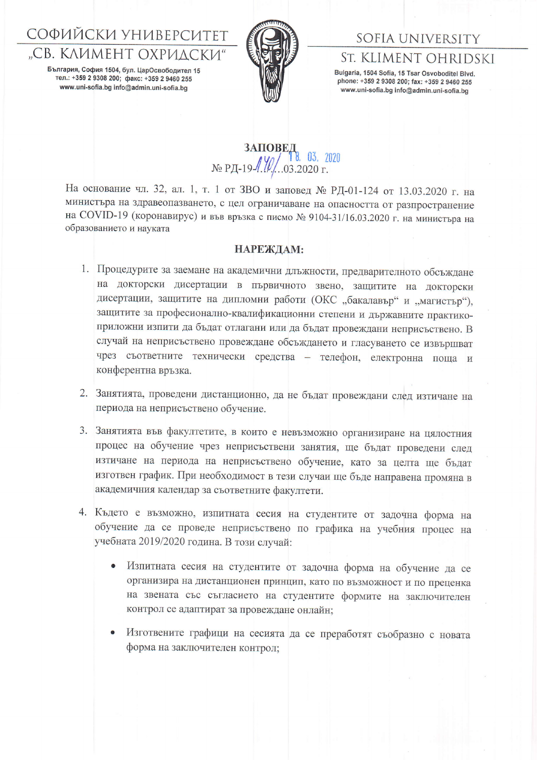## СОФИЙСКИ УНИВЕРСИТЕТ "СВ. КЛИМЕНТ ОХРИЛСКИ"

България, София 1504, бул. ЦарОсвободител 15 тел.: +359 2 9308 200; факс: +359 2 9460 255 www.uni-sofia.bg info@admin.uni-sofia.bg



## SOFIA UNIVERSITY St. KLIMENT OHRIDSKI

Bulgaria, 1504 Sofia, 15 Tsar Osvoboditel Blvd. phone: +359 2 9308 200; fax: +359 2 9460 255 www.uni-sofia.bg info@admin.uni-sofia.bg

## **3AHOBE 1**<br>No P<sub>H</sub>-19  $\frac{100}{10}$ , 03, 2020<br>No P<sub>H</sub>-19  $\frac{100}{10}$ , 03.2020 r.

На основание чл. 32, ал. 1, т. 1 от ЗВО и заповед № РД-01-124 от 13.03.2020 г. на министъра на здравеопазването, с цел ограничаване на опасността от разпространение на СОVID-19 (коронавирус) и във връзка с писмо № 9104-31/16.03.2020 г. на министъра на образованието и науката

## НАРЕЖДАМ:

- 1. Процедурите за заемане на академични длъжности, предварителното обсъждане на докторски дисертации в първичното звено, защитите на докторски дисертации, защитите на дипломни работи (ОКС "бакалавър" и "магистър"), защитите за професионално-квалификационни степени и държавните практикоприложни изпити да бъдат отлагани или да бъдат провеждани неприсъствено. В случай на неприсъствено провеждане обсъждането и гласуването се извършват чрез съответните технически средства - телефон, електронна поща и конферентна връзка.
- 2. Занятията, проведени дистанционно, да не бъдат провеждани след изтичане на периода на неприсъствено обучение.
- 3. Занятията във факултетите, в които е невъзможно организиране на цялостния процес на обучение чрез неприсъствени занятия, ще бъдат проведени след изтичане на периода на неприсъствено обучение, като за целта ще бъдат изготвен график. При необходимост в тези случаи ще бъде направена промяна в академичния календар за съответните факултети.
- 4. Където е възможно, изпитната сесия на студентите от задочна форма на обучение да се проведе неприсъствено по графика на учебния процес на учебната 2019/2020 година. В този случай:
	- Изпитната сесия на студентите от задочна форма на обучение да се организира на дистанционен принцип, като по възможност и по преценка на звената със съгласието на студентите формите на заключителен контрол се адаптират за провеждане онлайн:
	- Изготвените графици на сесията да се преработят съобразно с новата форма на заключителен контрол: